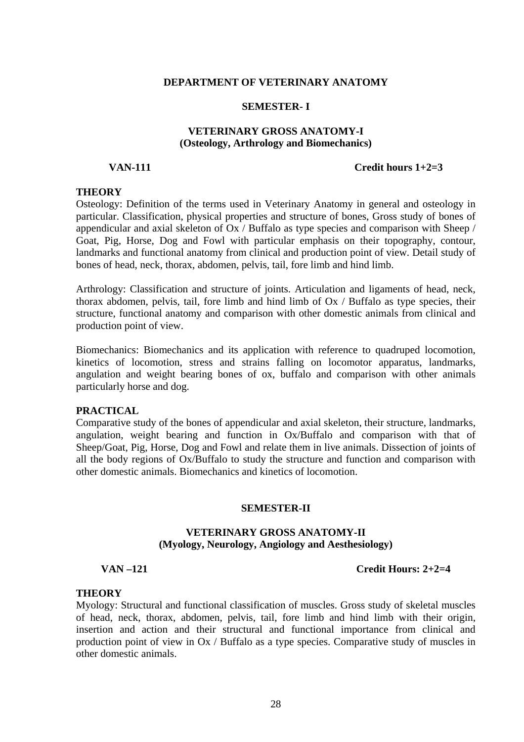### **DEPARTMENT OF VETERINARY ANATOMY**

### **SEMESTER- I**

### **VETERINARY GROSS ANATOMY-I (Osteology, Arthrology and Biomechanics)**

# **VAN-111 Credit hours 1+2=3**

# **THEORY**

Osteology: Definition of the terms used in Veterinary Anatomy in general and osteology in particular. Classification, physical properties and structure of bones, Gross study of bones of appendicular and axial skeleton of Ox / Buffalo as type species and comparison with Sheep / Goat, Pig, Horse, Dog and Fowl with particular emphasis on their topography, contour, landmarks and functional anatomy from clinical and production point of view. Detail study of bones of head, neck, thorax, abdomen, pelvis, tail, fore limb and hind limb.

Arthrology: Classification and structure of joints. Articulation and ligaments of head, neck, thorax abdomen, pelvis, tail, fore limb and hind limb of Ox / Buffalo as type species, their structure, functional anatomy and comparison with other domestic animals from clinical and production point of view.

Biomechanics: Biomechanics and its application with reference to quadruped locomotion, kinetics of locomotion, stress and strains falling on locomotor apparatus, landmarks, angulation and weight bearing bones of ox, buffalo and comparison with other animals particularly horse and dog.

### **PRACTICAL**

Comparative study of the bones of appendicular and axial skeleton, their structure, landmarks, angulation, weight bearing and function in Ox/Buffalo and comparison with that of Sheep/Goat, Pig, Horse, Dog and Fowl and relate them in live animals. Dissection of joints of all the body regions of Ox/Buffalo to study the structure and function and comparison with other domestic animals. Biomechanics and kinetics of locomotion.

### **SEMESTER-II**

# **VETERINARY GROSS ANATOMY-II (Myology, Neurology, Angiology and Aesthesiology)**

### **VAN –121 Credit Hours: 2+2=4**

# **THEORY**

Myology: Structural and functional classification of muscles. Gross study of skeletal muscles of head, neck, thorax, abdomen, pelvis, tail, fore limb and hind limb with their origin, insertion and action and their structural and functional importance from clinical and production point of view in Ox / Buffalo as a type species. Comparative study of muscles in other domestic animals.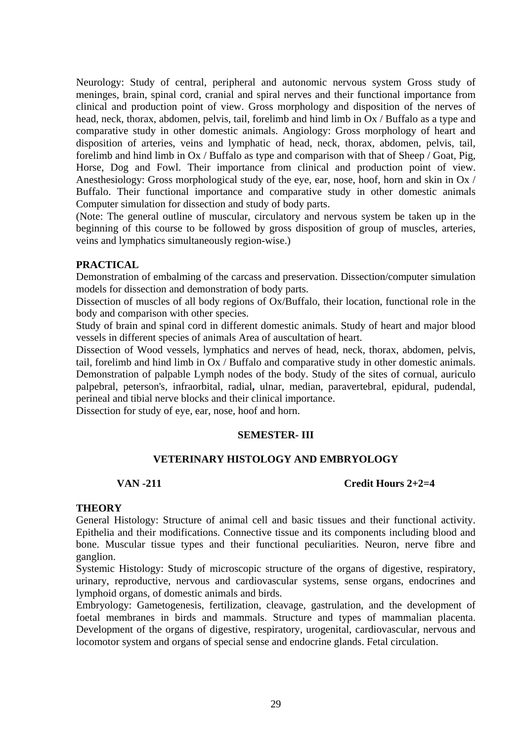Neurology: Study of central, peripheral and autonomic nervous system Gross study of meninges, brain, spinal cord, cranial and spiral nerves and their functional importance from clinical and production point of view. Gross morphology and disposition of the nerves of head, neck, thorax, abdomen, pelvis, tail, forelimb and hind limb in Ox / Buffalo as a type and comparative study in other domestic animals. Angiology: Gross morphology of heart and disposition of arteries, veins and lymphatic of head, neck, thorax, abdomen, pelvis, tail, forelimb and hind limb in Ox / Buffalo as type and comparison with that of Sheep / Goat, Pig, Horse, Dog and Fowl. Their importance from clinical and production point of view. Anesthesiology: Gross morphological study of the eye, ear, nose, hoof, horn and skin in Ox / Buffalo. Their functional importance and comparative study in other domestic animals Computer simulation for dissection and study of body parts.

(Note: The general outline of muscular, circulatory and nervous system be taken up in the beginning of this course to be followed by gross disposition of group of muscles, arteries, veins and lymphatics simultaneously region-wise.)

# **PRACTICAL**

Demonstration of embalming of the carcass and preservation. Dissection/computer simulation models for dissection and demonstration of body parts.

Dissection of muscles of all body regions of Ox/Buffalo, their location, functional role in the body and comparison with other species.

Study of brain and spinal cord in different domestic animals. Study of heart and major blood vessels in different species of animals Area of auscultation of heart.

Dissection of Wood vessels, lymphatics and nerves of head, neck, thorax, abdomen, pelvis, tail, forelimb and hind limb in Ox / Buffalo and comparative study in other domestic animals. Demonstration of palpable Lymph nodes of the body. Study of the sites of cornual, auriculo palpebral, peterson's, infraorbital, radial**,** ulnar, median, paravertebral, epidural, pudendal, perineal and tibial nerve blocks and their clinical importance.

Dissection for study of eye, ear, nose, hoof and horn.

# **SEMESTER- III**

# **VETERINARY HISTOLOGY AND EMBRYOLOGY**

# **VAN -211 Credit Hours 2+2=4**

# **THEORY**

General Histology: Structure of animal cell and basic tissues and their functional activity. Epithelia and their modifications. Connective tissue and its components including blood and bone. Muscular tissue types and their functional peculiarities. Neuron, nerve fibre and ganglion.

Systemic Histology: Study of microscopic structure of the organs of digestive, respiratory, urinary, reproductive, nervous and cardiovascular systems, sense organs, endocrines and lymphoid organs, of domestic animals and birds.

Embryology: Gametogenesis, fertilization, cleavage, gastrulation, and the development of foetal membranes in birds and mammals. Structure and types of mammalian placenta. Development of the organs of digestive, respiratory, urogenital, cardiovascular, nervous and locomotor system and organs of special sense and endocrine glands. Fetal circulation.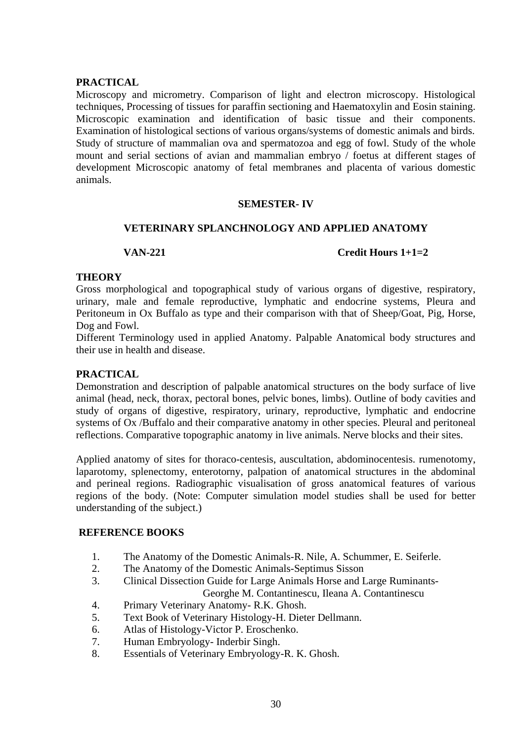# **PRACTICAL**

Microscopy and micrometry. Comparison of light and electron microscopy. Histological techniques, Processing of tissues for paraffin sectioning and Haematoxylin and Eosin staining. Microscopic examination and identification of basic tissue and their components. Examination of histological sections of various organs/systems of domestic animals and birds. Study of structure of mammalian ova and spermatozoa and egg of fowl. Study of the whole mount and serial sections of avian and mammalian embryo / foetus at different stages of development Microscopic anatomy of fetal membranes and placenta of various domestic animals.

# **SEMESTER- IV**

# **VETERINARY SPLANCHNOLOGY AND APPLIED ANATOMY**

# **VAN-221 Credit Hours 1+1=2**

# **THEORY**

Gross morphological and topographical study of various organs of digestive, respiratory, urinary, male and female reproductive, lymphatic and endocrine systems, Pleura and Peritoneum in Ox Buffalo as type and their comparison with that of Sheep/Goat, Pig, Horse, Dog and Fowl.

Different Terminology used in applied Anatomy. Palpable Anatomical body structures and their use in health and disease.

# **PRACTICAL**

Demonstration and description of palpable anatomical structures on the body surface of live animal (head, neck, thorax, pectoral bones, pelvic bones, limbs). Outline of body cavities and study of organs of digestive, respiratory, urinary, reproductive, lymphatic and endocrine systems of Ox /Buffalo and their comparative anatomy in other species. Pleural and peritoneal reflections. Comparative topographic anatomy in live animals. Nerve blocks and their sites.

Applied anatomy of sites for thoraco-centesis, auscultation, abdominocentesis. rumenotomy, laparotomy, splenectomy, enterotorny, palpation of anatomical structures in the abdominal and perineal regions. Radiographic visualisation of gross anatomical features of various regions of the body. (Note: Computer simulation model studies shall be used for better understanding of the subject.)

# **REFERENCE BOOKS**

- 1. The Anatomy of the Domestic Animals-R. Nile, A. Schummer, E. Seiferle.
- 2. The Anatomy of the Domestic Animals-Septimus Sisson
- 3. Clinical Dissection Guide for Large Animals Horse and Large Ruminants-Georghe M. Contantinescu, Ileana A. Contantinescu
- 4. Primary Veterinary Anatomy- R.K. Ghosh.
- 5. Text Book of Veterinary Histology-H. Dieter Dellmann.
- 6. Atlas of Histology-Victor P. Eroschenko.
- 7. Human Embryology- Inderbir Singh.
- 8. Essentials of Veterinary Embryology-R. K. Ghosh.